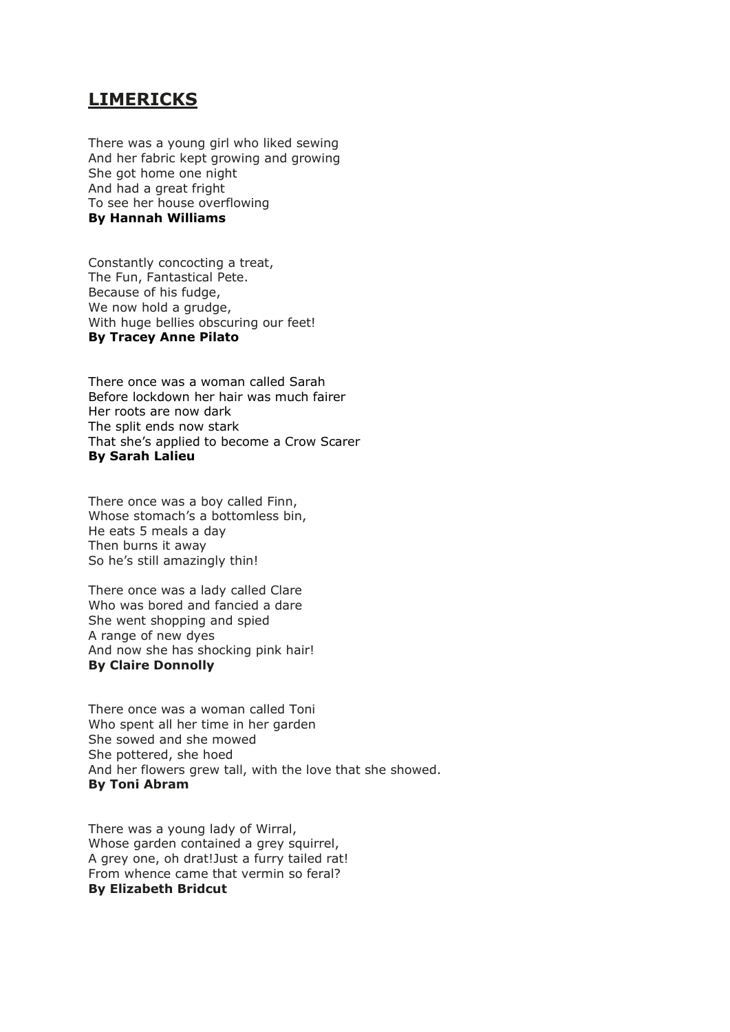## **LIMERICKS**

There was a young girl who liked sewing And her fabric kept growing and growing She got home one night And had a great fright To see her house overflowing **By Hannah Williams**

Constantly concocting a treat, The Fun, Fantastical Pete. Because of his fudge, We now hold a grudge, With huge bellies obscuring our feet! **By Tracey Anne Pilato**

There once was a woman called Sarah Before lockdown her hair was much fairer Her roots are now dark The split ends now stark That she's applied to become a Crow Scarer **By Sarah Lalieu** 

There once was a boy called Finn, Whose stomach's a bottomless bin, He eats 5 meals a day Then burns it away So he's still amazingly thin!

There once was a lady called Clare Who was bored and fancied a dare She went shopping and spied A range of new dyes And now she has shocking pink hair! **By Claire Donnolly**

There once was a woman called Toni Who spent all her time in her garden She sowed and she mowed She pottered, she hoed And her flowers grew tall, with the love that she showed. **By Toni Abram**

There was a young lady of Wirral, Whose garden contained a grey squirrel, A grey one, oh drat!Just a furry tailed rat! From whence came that vermin so feral? **By Elizabeth Bridcut**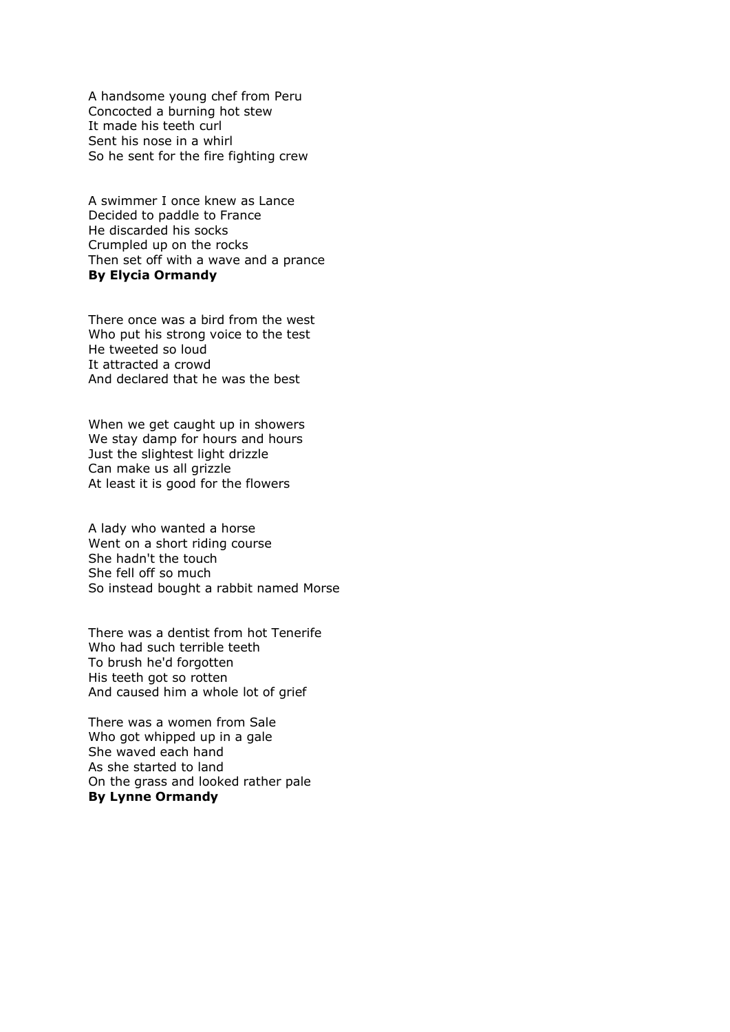A handsome young chef from Peru Concocted a burning hot stew It made his teeth curl Sent his nose in a whirl So he sent for the fire fighting crew

A swimmer I once knew as Lance Decided to paddle to France He discarded his socks Crumpled up on the rocks Then set off with a wave and a prance **By Elycia Ormandy**

There once was a bird from the west Who put his strong voice to the test He tweeted so loud It attracted a crowd And declared that he was the best

When we get caught up in showers We stay damp for hours and hours Just the slightest light drizzle Can make us all grizzle At least it is good for the flowers

A lady who wanted a horse Went on a short riding course She hadn't the touch She fell off so much So instead bought a rabbit named Morse

There was a dentist from hot Tenerife Who had such terrible teeth To brush he'd forgotten His teeth got so rotten And caused him a whole lot of grief

There was a women from Sale Who got whipped up in a gale She waved each hand As she started to land On the grass and looked rather pale **By Lynne Ormandy**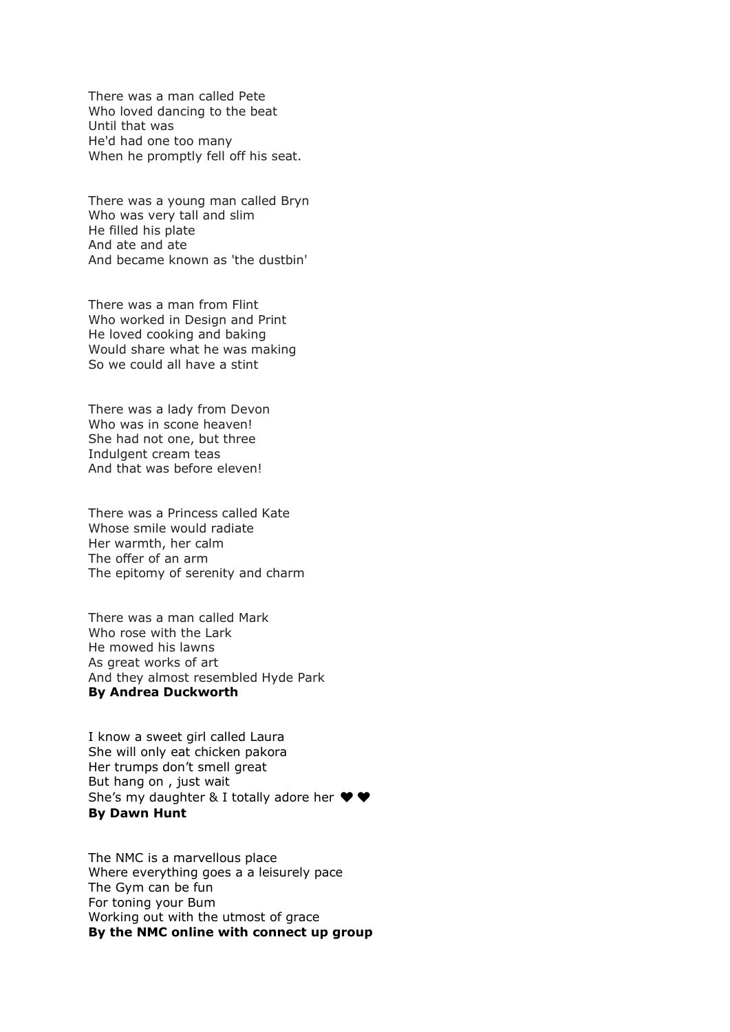There was a man called Pete Who loved dancing to the beat Until that was He'd had one too many When he promptly fell off his seat.

There was a young man called Bryn Who was very tall and slim He filled his plate And ate and ate And became known as 'the dustbin'

There was a man from Flint Who worked in Design and Print He loved cooking and baking Would share what he was making So we could all have a stint

There was a lady from Devon Who was in scone heaven! She had not one, but three Indulgent cream teas And that was before eleven!

There was a Princess called Kate Whose smile would radiate Her warmth, her calm The offer of an arm The epitomy of serenity and charm

There was a man called Mark Who rose with the Lark He mowed his lawns As great works of art And they almost resembled Hyde Park **By Andrea Duckworth**

I know a sweet girl called Laura She will only eat chicken pakora Her trumps don't smell great But hang on , just wait She's my daughter & I totally adore her  $\blacklozenge \blacklozenge$ **By Dawn Hunt**

The NMC is a marvellous place Where everything goes a a leisurely pace The Gym can be fun For toning your Bum Working out with the utmost of grace **By the NMC online with connect up group**